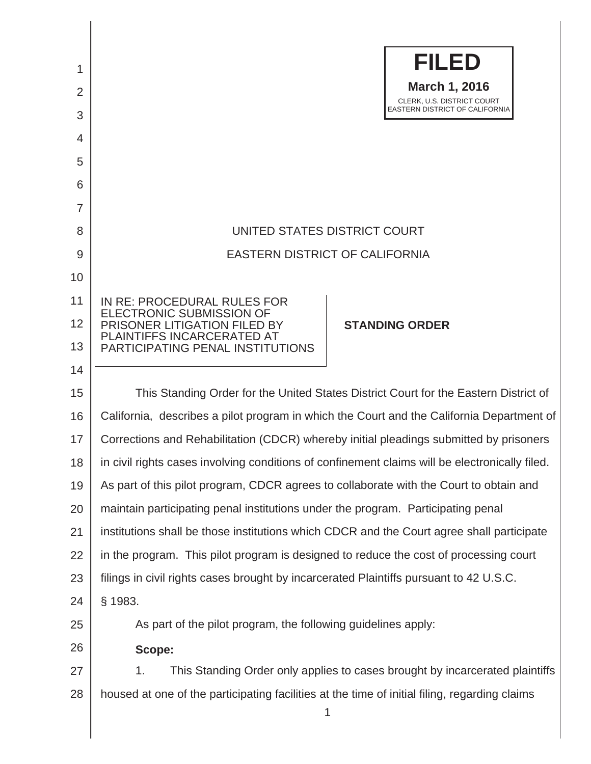| 1<br>2<br>3<br>$\overline{4}$<br>5<br>6<br>$\overline{7}$ | <b>FILED</b><br><b>March 1, 2016</b><br>CLERK, U.S. DISTRICT COURT<br>EASTERN DISTRICT OF CALIFORNIA                                                                                             |
|-----------------------------------------------------------|--------------------------------------------------------------------------------------------------------------------------------------------------------------------------------------------------|
| 8                                                         | UNITED STATES DISTRICT COURT                                                                                                                                                                     |
| 9                                                         | <b>EASTERN DISTRICT OF CALIFORNIA</b>                                                                                                                                                            |
| 10                                                        |                                                                                                                                                                                                  |
| 11<br>12<br>13                                            | IN RE: PROCEDURAL RULES FOR<br><b>ELECTRONIC SUBMISSION OF</b><br><b>PRISONER LITIGATION FILED BY</b><br><b>STANDING ORDER</b><br>PLAINTIFFS INCARCERATED AT<br>PARTICIPATING PENAL INSTITUTIONS |
| 14                                                        |                                                                                                                                                                                                  |
| 15                                                        | This Standing Order for the United States District Court for the Eastern District of                                                                                                             |
| 16                                                        | California, describes a pilot program in which the Court and the California Department of                                                                                                        |
| 17                                                        | Corrections and Rehabilitation (CDCR) whereby initial pleadings submitted by prisoners                                                                                                           |
| 18                                                        | in civil rights cases involving conditions of confinement claims will be electronically filed.                                                                                                   |
| 19                                                        | As part of this pilot program, CDCR agrees to collaborate with the Court to obtain and                                                                                                           |
| 20                                                        | maintain participating penal institutions under the program. Participating penal                                                                                                                 |
| 21                                                        | institutions shall be those institutions which CDCR and the Court agree shall participate                                                                                                        |
| 22                                                        | in the program. This pilot program is designed to reduce the cost of processing court                                                                                                            |
| 23                                                        | filings in civil rights cases brought by incarcerated Plaintiffs pursuant to 42 U.S.C.                                                                                                           |
| 24                                                        | § 1983.                                                                                                                                                                                          |
| 25                                                        | As part of the pilot program, the following guidelines apply:                                                                                                                                    |
| 26                                                        | Scope:                                                                                                                                                                                           |
| 27                                                        | This Standing Order only applies to cases brought by incarcerated plaintiffs<br>1.                                                                                                               |
| 28                                                        | housed at one of the participating facilities at the time of initial filing, regarding claims<br>1                                                                                               |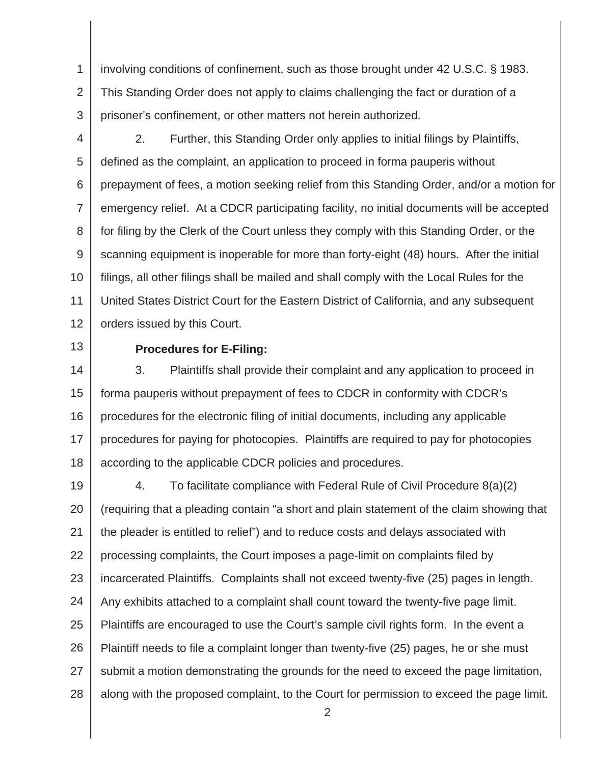1 2 3 involving conditions of confinement, such as those brought under 42 U.S.C. § 1983. This Standing Order does not apply to claims challenging the fact or duration of a prisoner's confinement, or other matters not herein authorized.

4

5 6 7 8 9 10 11 12 2. Further, this Standing Order only applies to initial filings by Plaintiffs, defined as the complaint, an application to proceed in forma pauperis without prepayment of fees, a motion seeking relief from this Standing Order, and/or a motion for emergency relief. At a CDCR participating facility, no initial documents will be accepted for filing by the Clerk of the Court unless they comply with this Standing Order, or the scanning equipment is inoperable for more than forty-eight (48) hours. After the initial filings, all other filings shall be mailed and shall comply with the Local Rules for the United States District Court for the Eastern District of California, and any subsequent orders issued by this Court.

13

## **Procedures for E-Filing:**

14 15 16 17 18 3. Plaintiffs shall provide their complaint and any application to proceed in forma pauperis without prepayment of fees to CDCR in conformity with CDCR's procedures for the electronic filing of initial documents, including any applicable procedures for paying for photocopies. Plaintiffs are required to pay for photocopies according to the applicable CDCR policies and procedures.

19 20 21 22 23 24 25 26 27 28 4. To facilitate compliance with Federal Rule of Civil Procedure 8(a)(2) (requiring that a pleading contain "a short and plain statement of the claim showing that the pleader is entitled to relief") and to reduce costs and delays associated with processing complaints, the Court imposes a page-limit on complaints filed by incarcerated Plaintiffs. Complaints shall not exceed twenty-five (25) pages in length. Any exhibits attached to a complaint shall count toward the twenty-five page limit. Plaintiffs are encouraged to use the Court's sample civil rights form. In the event a Plaintiff needs to file a complaint longer than twenty-five (25) pages, he or she must submit a motion demonstrating the grounds for the need to exceed the page limitation, along with the proposed complaint, to the Court for permission to exceed the page limit.

2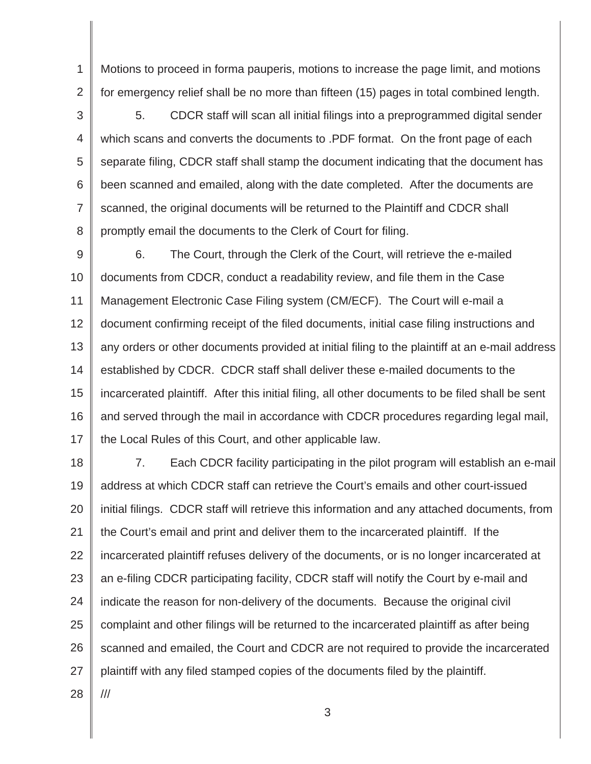1 2 Motions to proceed in forma pauperis, motions to increase the page limit, and motions for emergency relief shall be no more than fifteen (15) pages in total combined length.

3 4 5 6 7 8 5. CDCR staff will scan all initial filings into a preprogrammed digital sender which scans and converts the documents to .PDF format. On the front page of each separate filing, CDCR staff shall stamp the document indicating that the document has been scanned and emailed, along with the date completed. After the documents are scanned, the original documents will be returned to the Plaintiff and CDCR shall promptly email the documents to the Clerk of Court for filing.

9 10 11 12 13 14 15 16 17 6. The Court, through the Clerk of the Court, will retrieve the e-mailed documents from CDCR, conduct a readability review, and file them in the Case Management Electronic Case Filing system (CM/ECF). The Court will e-mail a document confirming receipt of the filed documents, initial case filing instructions and any orders or other documents provided at initial filing to the plaintiff at an e-mail address established by CDCR. CDCR staff shall deliver these e-mailed documents to the incarcerated plaintiff. After this initial filing, all other documents to be filed shall be sent and served through the mail in accordance with CDCR procedures regarding legal mail, the Local Rules of this Court, and other applicable law.

18 19 20 21 22 23 24 25 26 27 7. Each CDCR facility participating in the pilot program will establish an e-mail address at which CDCR staff can retrieve the Court's emails and other court-issued initial filings. CDCR staff will retrieve this information and any attached documents, from the Court's email and print and deliver them to the incarcerated plaintiff. If the incarcerated plaintiff refuses delivery of the documents, or is no longer incarcerated at an e-filing CDCR participating facility, CDCR staff will notify the Court by e-mail and indicate the reason for non-delivery of the documents. Because the original civil complaint and other filings will be returned to the incarcerated plaintiff as after being scanned and emailed, the Court and CDCR are not required to provide the incarcerated plaintiff with any filed stamped copies of the documents filed by the plaintiff. ///

3

28